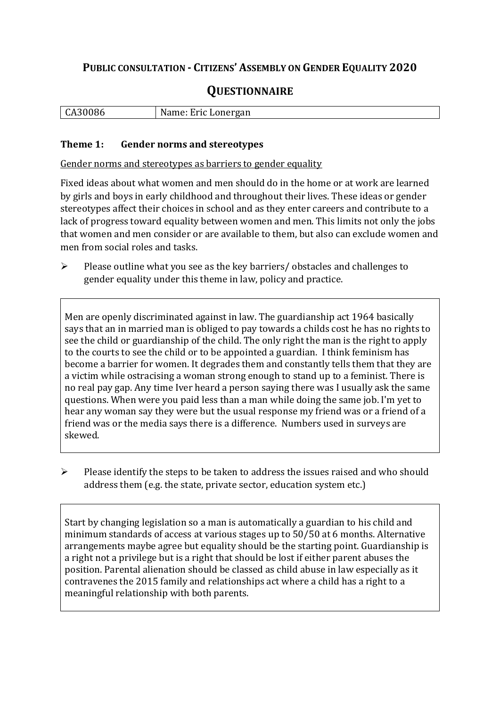## **PUBLIC CONSULTATION - CITIZENS' ASSEMBLY ON GENDER EQUALITY 2020**

# **QUESTIONNAIRE**

| CA30086 | Name: Eric Lonergan |
|---------|---------------------|
|         |                     |

#### **Theme 1: Gender norms and stereotypes**

Gender norms and stereotypes as barriers to gender equality

Fixed ideas about what women and men should do in the home or at work are learned by girls and boys in early childhood and throughout their lives. These ideas or gender stereotypes affect their choices in school and as they enter careers and contribute to a lack of progress toward equality between women and men. This limits not only the jobs that women and men consider or are available to them, but also can exclude women and men from social roles and tasks.

➢ Please outline what you see as the key barriers/ obstacles and challenges to gender equality under this theme in law, policy and practice.

Men are openly discriminated against in law. The guardianship act 1964 basically says that an in married man is obliged to pay towards a childs cost he has no rights to see the child or guardianship of the child. The only right the man is the right to apply to the courts to see the child or to be appointed a guardian. I think feminism has become a barrier for women. It degrades them and constantly tells them that they are a victim while ostracising a woman strong enough to stand up to a feminist. There is no real pay gap. Any time Iver heard a person saying there was I usually ask the same questions. When were you paid less than a man while doing the same job. I'm yet to hear any woman say they were but the usual response my friend was or a friend of a friend was or the media says there is a difference. Numbers used in surveys are skewed.

➢ Please identify the steps to be taken to address the issues raised and who should address them (e.g. the state, private sector, education system etc.)

Start by changing legislation so a man is automatically a guardian to his child and minimum standards of access at various stages up to 50/50 at 6 months. Alternative arrangements maybe agree but equality should be the starting point. Guardianship is a right not a privilege but is a right that should be lost if either parent abuses the position. Parental alienation should be classed as child abuse in law especially as it contravenes the 2015 family and relationships act where a child has a right to a meaningful relationship with both parents.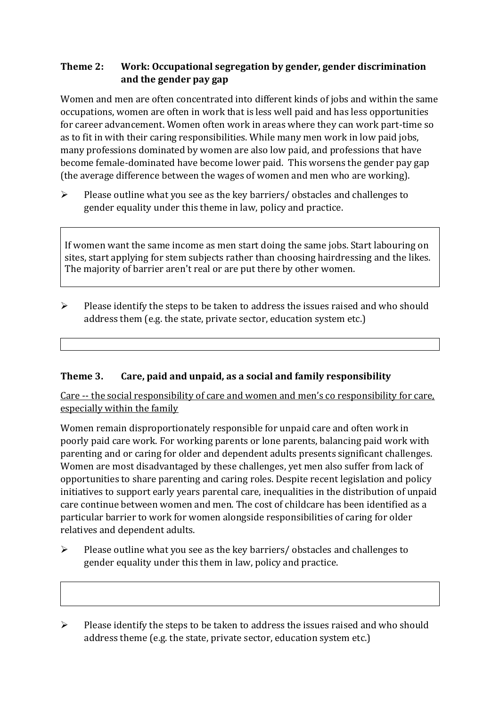### **Theme 2: Work: Occupational segregation by gender, gender discrimination and the gender pay gap**

Women and men are often concentrated into different kinds of jobs and within the same occupations, women are often in work that is less well paid and has less opportunities for career advancement. Women often work in areas where they can work part-time so as to fit in with their caring responsibilities. While many men work in low paid jobs, many professions dominated by women are also low paid, and professions that have become female-dominated have become lower paid. This worsens the gender pay gap (the average difference between the wages of women and men who are working).

➢ Please outline what you see as the key barriers/ obstacles and challenges to gender equality under this theme in law, policy and practice.

If women want the same income as men start doing the same jobs. Start labouring on sites, start applying for stem subjects rather than choosing hairdressing and the likes. The majority of barrier aren't real or are put there by other women.

 $\triangleright$  Please identify the steps to be taken to address the issues raised and who should address them (e.g. the state, private sector, education system etc.)

### **Theme 3. Care, paid and unpaid, as a social and family responsibility**

Care -- the social responsibility of care and women and men's co responsibility for care, especially within the family

Women remain disproportionately responsible for unpaid care and often work in poorly paid care work. For working parents or [lone parents,](https://aran.library.nuigalway.ie/bitstream/handle/10379/6044/Millar_and_Crosse_Activation_Report.pdf?sequence=1&isAllowed=y) balancing paid work with parenting and or caring for older and dependent adults presents significant challenges. Women are [most disadvantaged by these challenges,](https://eige.europa.eu/gender-equality-index/game/IE/W) yet men also suffer from lack of opportunities to share parenting and caring roles. Despite recent legislation and policy initiatives to support early years parental care, [inequalities in the distribution of unpaid](https://www.ihrec.ie/app/uploads/2019/07/Caring-and-Unpaid-Work-in-Ireland_Final.pdf)  [care](https://www.ihrec.ie/app/uploads/2019/07/Caring-and-Unpaid-Work-in-Ireland_Final.pdf) continue between women and men. The cost of childcare has been identified as a particular barrier to work for women alongside responsibilities of caring for older relatives and dependent adults.

- ➢ Please outline what you see as the key barriers/ obstacles and challenges to gender equality under this them in law, policy and practice.
- ➢ Please identify the steps to be taken to address the issues raised and who should address theme (e.g. the state, private sector, education system etc.)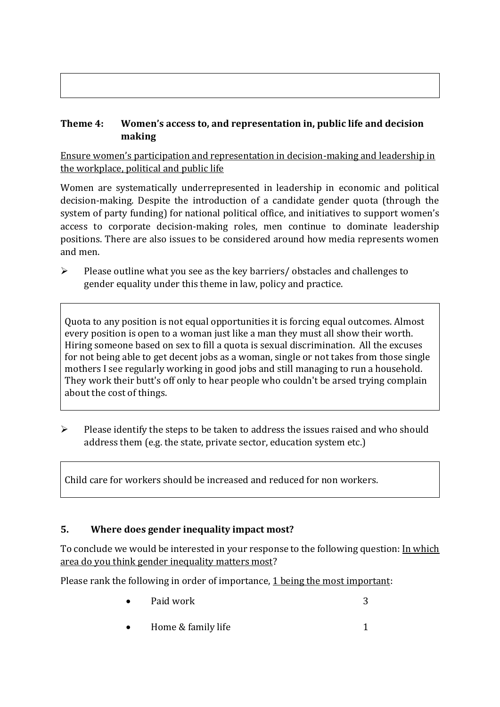#### **Theme 4: Women's access to, and representation in, public life and decision making**

Ensure women's participation and representation in decision-making and leadership in the workplace, political and public life

Women are systematically underrepresented in leadership in [economic](https://eige.europa.eu/gender-equality-index/2019/compare-countries/power/2/bar) and [political](https://eige.europa.eu/gender-equality-index/2019/compare-countries/power/1/bar)  [decision-](https://eige.europa.eu/gender-equality-index/2019/compare-countries/power/1/bar)making. Despite the introduction of a candidate gender quota (through the system of party funding) for national political office, and [initiatives](https://betterbalance.ie/) to support women's access to corporate decision-making roles, men continue to dominate leadership positions. There are also issues to be considered around how media represents women and men.

➢ Please outline what you see as the key barriers/ obstacles and challenges to gender equality under this theme in law, policy and practice.

Quota to any position is not equal opportunities it is forcing equal outcomes. Almost every position is open to a woman just like a man they must all show their worth. Hiring someone based on sex to fill a quota is sexual discrimination. All the excuses for not being able to get decent jobs as a woman, single or not takes from those single mothers I see regularly working in good jobs and still managing to run a household. They work their butt's off only to hear people who couldn't be arsed trying complain about the cost of things.

 $\triangleright$  Please identify the steps to be taken to address the issues raised and who should address them (e.g. the state, private sector, education system etc.)

Child care for workers should be increased and reduced for non workers.

### **5. Where does gender inequality impact most?**

To conclude we would be interested in your response to the following question: In which area do you think gender inequality matters most?

Please rank the following in order of importance, 1 being the most important:

- Paid work 3
- Home & family life 1